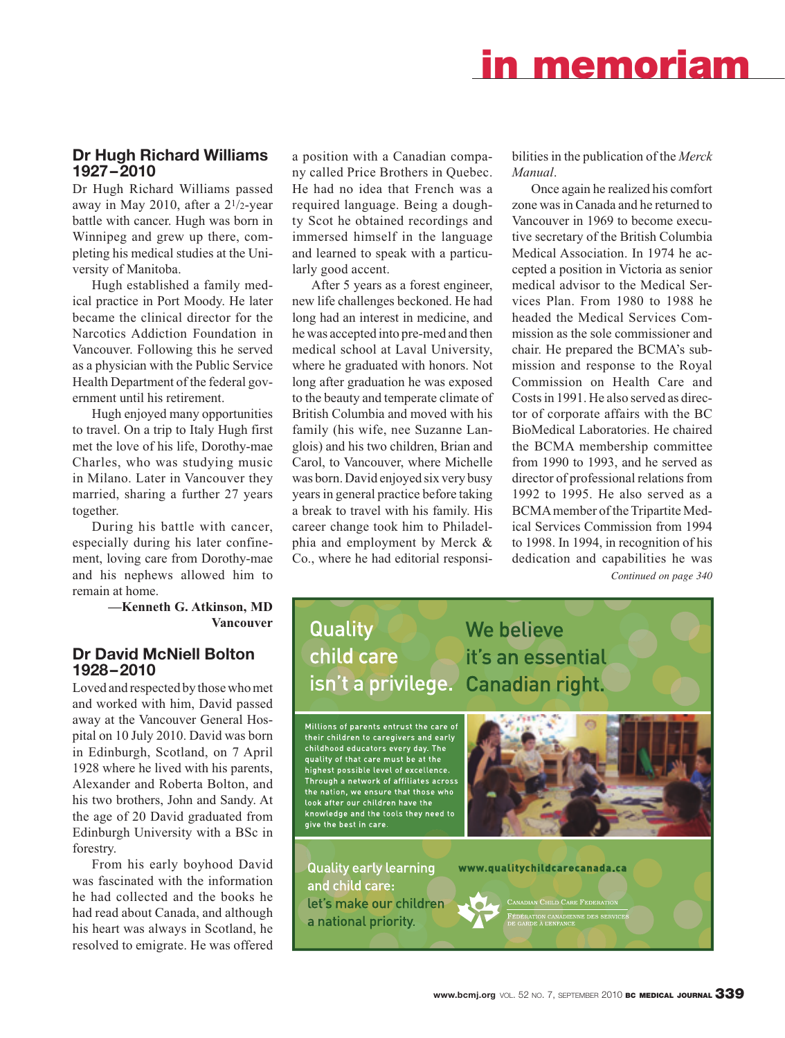# **in memoriam**

## **Dr Hugh Richard Williams 1927–2010**

Dr Hugh Richard Williams passed away in May 2010, after a 21/2-year battle with cancer. Hugh was born in Winnipeg and grew up there, completing his medical studies at the University of Manitoba.

Hugh established a family medical practice in Port Moody. He later became the clinical director for the Narcotics Addiction Foundation in Vancouver. Following this he served as a physician with the Public Service Health Department of the federal government until his retirement.

Hugh enjoyed many opportunities to travel. On a trip to Italy Hugh first met the love of his life, Dorothy-mae Charles, who was studying music in Milano. Later in Vancouver they married, sharing a further 27 years together.

During his battle with cancer, especially during his later confinement, loving care from Dorothy-mae and his nephews allowed him to remain at home.

> **—Kenneth G. Atkinson, MD Vancouver**

## **Dr David McNiell Bolton 1928–2010**

Loved and respected by those who met and worked with him, David passed away at the Vancouver General Hospital on 10 July 2010. David was born in Edinburgh, Scotland, on 7 April 1928 where he lived with his parents, Alexander and Roberta Bolton, and his two brothers, John and Sandy. At the age of 20 David graduated from Edinburgh University with a BSc in forestry.

From his early boyhood David was fascinated with the information he had collected and the books he had read about Canada, and although his heart was always in Scotland, he resolved to emigrate. He was offered a position with a Canadian company called Price Brothers in Quebec. He had no idea that French was a required language. Being a doughty Scot he obtained recordings and immersed himself in the language and learned to speak with a particularly good accent.

After 5 years as a forest engineer, new life challenges beckoned. He had long had an interest in medicine, and he was accepted into pre-med and then medical school at Laval University, where he graduated with honors. Not long after graduation he was exposed to the beauty and temperate climate of British Columbia and moved with his family (his wife, nee Suzanne Langlois) and his two children, Brian and Carol, to Vancouver, where Michelle was born. David enjoyed six very busy years in general practice before taking a break to travel with his family. His career change took him to Philadelphia and employment by Merck & Co., where he had editorial responsibilities in the publication of the *Merck Manual*.

Once again he realized his comfort zone was in Canada and he returned to Vancouver in 1969 to become executive secretary of the British Columbia Medical Association. In 1974 he accepted a position in Victoria as senior medical advisor to the Medical Services Plan. From 1980 to 1988 he headed the Medical Services Commission as the sole commissioner and chair. He prepared the BCMA's submission and response to the Royal Commission on Health Care and Costs in 1991. He also served as director of corporate affairs with the BC BioMedical Laboratories. He chaired the BCMA membership committee from 1990 to 1993, and he served as director of professional relations from 1992 to 1995. He also served as a BCMA member of the Tripartite Medical Services Commission from 1994 to 1998. In 1994, in recognition of his dedication and capabilities he was *Continued on page 340*